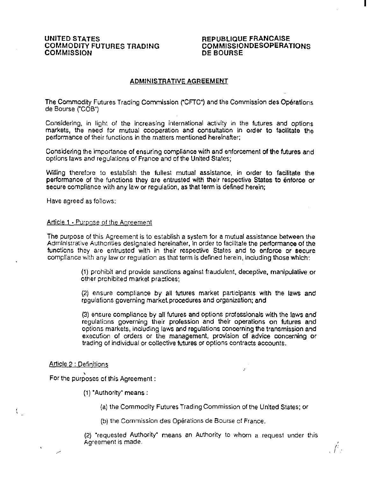# UNITED STATES COMMODITY FUTURES TRADING **COMMISSION**

# REPUBLIQUE FRANCAISE COMMISSIONDESOPERATIONS DE BOURSE

I

 $\int f(x)$ 

# ADMINISTRATIVE AGREEMENT

The Commodity Futures Trading Commission ("CFTC") and the Commission des Operations de Bourse ("COB")

Considering, in light of the increasing international activity in the futures and options markets, the need for mutual cooperation and consultation in order to facilitate the performance of their functions in the matters mentioned hereinafter;

Considering the importance of ensuring compliance with and enforcement of the Mures and options laws and regulations of France and of the United States;

Willing therefore to establish the fullest mutual assistance, in order to facilitate the performance of the functions they are entrusted with their respective States to enforce or secure compliance with any law or regulation, as that term is defined herein;

Have agreed as follows:

#### Article 1 • Purpose of the Agreement

The purpose of this Agreement is to establish a system for a mutual assistance between the Administrative Authorities designated hereinafter, in order to facilitate the performance of the functions they are entrusted with in their respective States and to enforce or secure compliance with any law or regulation as that term is defined herein, including those which:

> (1) prohibit and provide sanctions against fraudulent, deceptive, manipulative or other prohibited market practices;

> (2) ensure compliance by all futures market participants with the laws and regulations governing market procedures and organization; and

> (3) ensure compliance by all futures and options professionals with the laws and regulations governing their profession and their operations on futures and options markets, including laws and regulations concerning the transmission and execution of orders or the management, provision of advice concerning or trading of individual or collective futures or options contracts accounts.

#### Article 2 : Definitions

' For the purposes of this Agreement :

- (1) 'Aulhority' means:
	- (a) the Commodity Futures Trading Commission of the United States; or
	- (b) the Commission des Operations de Bourse of France.

(2) "requested Authority· means an Authority to whom a request under this Agreement is made.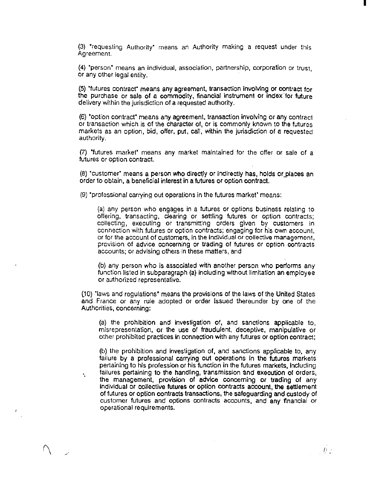(3) 'requesting Authority' means an Authority making a request under this Agreement.

I

(4) 'person" means an individual, association, partnership, corporation or trust, or any other legal entity.

(5} "futures contract' means any agreement, transaction involving or contract for the purchase or sale of a commodity, financial instrument or index-for future delivery within the jurisdiction of a iequested authority.

(6) "option contract' means any agreement, transaction invotving or any contract or transaction which is of the character of, or is commonly known to the futures markets as an option, bid, offer, put, call, within the jurisdiction of a requested authority.

(7) "futures market' means any market maintained for the offer or sale of a futures or option contract.

(8) 'customer' means a person who directly or indirectly has, holds or places an order to obtain, a beneficial interest in a futures or option contract.

(9) "professional carrying out operations in the Mures market" means:

(a) any person who engages in a futures or options business relating to offering, transacting, clearing or settling futures or option contracts; collecting, executing or transmittlng orders given by customers in connection with futures or option contracts; engaging for his own account, or for the account of customers, in the individual or collective managemont, provision of advice concerning or trading of futures or option contracts accounts; or advising others in these matters, and

(b) any person who is associated with another person who performs any function listed in subparagraph (a) including without limitation an employee or authorized representative.

00) ·raws and regulations• means the provisions of the laws of the United States and France or any rule adopted or order Issued thereunder by one of the Authorities, concerning:

(a) the prohibition and investigation of, and sanctions applicable to, misrepresentation, or the use of fraudulent, deceptive, manipulative or other prohibited practices in connection with any futures or option contract;

(b) the prohibition and investigation of, and sanctions applicable to, any failure by a professional carrying out operations In the futures markets pertaining to his profession or his function in the futures markets, Including failures pertaining to the handling, transmission and execution of orders, the management, provision of advice concerning or trading of any individual or collective futures or option contracts account, the settlement of futures or option contracts transactions, the safeguarding and custody of customer futures and options contracts accounts, and any financial or operational requirements.

 $\frac{1}{2}$  ,  $\frac{1}{2}$ 

Ň.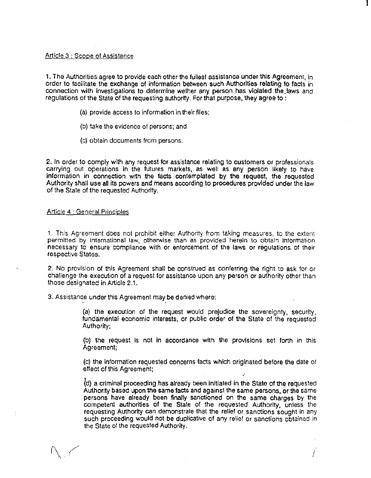## Article 3 : Scope of Assistance

1. The Authorities agree to provide each other the fullest assistanca under this Agreement, in order to facilitate the exchange of information between such Authorities relating to facts in connection with investigations to determine wether any person has violated the laws and regulations of the State of the requesting authortty. For that purpose, they agree to :

- (a) provide access to information in their files;
- (b) !ake the evidence of persons; and
- (c) obtain documents from persons.

2. In order to comply with any request for assistance relating to customers or professionals carrying out operations in the futures markets, as well as any person likely to have information in connection with the facts contemplated by the request, the requested Authority shall use all its powers and means according to procedures provided under the law of the State of the requested Authority.

# Article 4 : General Principles

1. This Agreement does not prohibit either Authority from taking measures, to the extent permitted by international law, otherwise than as provided herein to obtain information necessary to ensure compliance with or enforcement of the laws or regulations. of their respective States.

2. No provision of this Agreement shall be construed as conferring the right to ask for or challenge the execution of a request for assistance upon any person or authority other than those designated in Article 2.1.

3. Assistance under this Agreement may be denied where:

(a) the execution of the request would prejudice the sovereignty, security, fundamental economic interests, or public order of the State of the requested Authority;

(b) the request is not in accordance with the provisions set forth in this Agreement;

(c) the information requested concerns facts which originated before the date of effect of this Agreement:

(d) a criminal proceeding has already been initiated in the State of the requested Authority based upon the same facts and against the same persons, or the same persons have already been finally sanctioned on the same charges by the competent authorities of the State of the requested Authority, unless the requesting Authority can demonstrate that the relief or sanctions sought in any such proceeding would not be duplicative of any relief or sanctions obtained in the State of the requested Authority.

I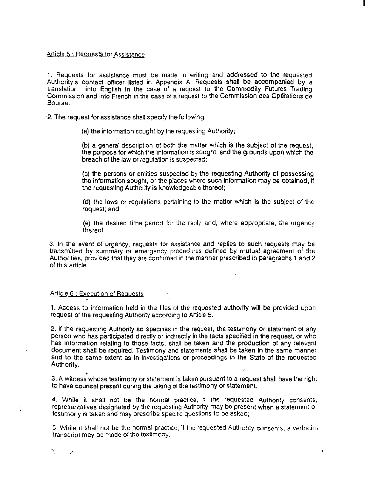### Article 5 : Requests for Assistance

1. Requests for assistance must be made in writing and addressed to the requested Authority's contact officer listed in Appendix A. Requests shall be accompanied by a translation into English in the case of a request to the Commodity Futures Trading Commission and into French in the case of a request to the Commission des Operations de Bourse.

2. The request for assistance shall specify the following:

(a) the information sought by the requesting Authortty;

(b) a general description of both the matter which is the subject of the request, the purpose for which the information is sought, and the grounds upon which the breach of the law or regulation is suspected;

(c) the persons or entities suspected by tbe requesting Authority of possessing the information sought, or the places where such information may be obtained, if the requesting Authority is knowledgeable thereof:

(d) the laws or regulations pertaining to the matter which is the subject of the request; and

(e) the desired time period for the reply and, where appropriate, the urgency thereof.

3. In the event of urgency, requests for assistance and replies to such requests may be transmitted by summary or emergency procedures defined by mutual agreement of the Authorities, provided that they are confirmed in the manner prescribed in paragraphs 1 and 2 of this article.

### Article 6 : Execution of Reauests

1. Access to information held in the files of the requested authority will be provided upon request of the requesting Authority according to Article 5.

2. If the requesting Authority so specifies in the request, the testimony or statement of any person who has participated directly or indirectly in the facts specffied in the request, or who has information relating to those facts, shall be taken and the production of any relevant document shall be required. Testimony and statements shall be taken in the same manner and to the same extent as In investigations or proceedings in the State of the requested Authority.

• 3. A witness whose testimony or statement is taken pursuant to a request shall have the right to have counsel present during the taking of the testimony or statement.

4. While it shall not be the normal practice, if the requested Authority consents, representatives designated by the requesting Authority may be present when a statement or testimony is taken and may prescribe specffic questions to be asked;

5. While it shall not be the normal practice, if the requested Authority consents, a verbatim transcript may be made of the testimony.

 $\hat{\xi}_a$ 

I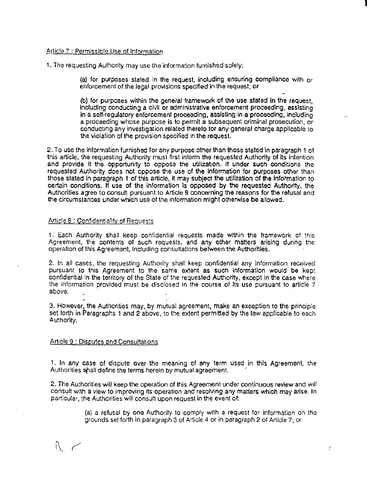## Article 7 : Permissible Use of Information

1. The requesting Authority may use the information furnished solely:

(a) for purposes stated in the request, including ensuring compliance with or enforcement of the legal provisions speclfied in the request; or

(b) for purposes within the general framework of the use stated in the request, including conducting a ci'vil or administrative enforcement proceeding, assisting in a setf-regulatory enforcement proceeding, assisting in a proceeding, Including a proceeding whose purpose is to permit a subsequent criminal prosecution, or conducting any investigation related thereto for any general charge applicable to the violation of the provision specified in the request.

2. To use the information furnished for any purpose other than those stated in paragraph 1 of this article, the requesting Authority must first inform the requested Authority of its intention and provide it the opportunity to oppose the utilization. H under such conditions the requested Authority does not oppose the use of the Information for purposes other than those stated in paragraph 1 of this article, it may subject the utilization of the information to certain conditions. If use of the information is opposed by the requested Authortty, the Authorities agree to consutt pursuant to Article 9 concerning the raasons for the refusal and the circumstances under which use of the information might otherwise be allowed.

### Article 8 : Confidentiality of Requests

1. Each Authority shall keep confidential requests made within the framework of this Agreement, the contents of such requests, and any other matters arising during the operation of this Agreement, including consuttations between the Authorities.

2. In all cases, the requesting Authority shall keep confidential any information received pursuant to this Agreement to the same extent as such information would be kept conftdential in the territory of the State of the requested Authority, except in the case where the information provided must be disclosed in the course of its use pursuant to article 7 above.

3. However, the Authorities may, by mutual agreement, make an exception to the principle set forth in Paragraphs 1 and 2 above, to the extent permitted by the law applicable to each Authority.

#### Article 9 : Disputes and Consultations

1. In any case of dispute over the meaning of any term used in this Agreement, the Authorities shall define the terms herein by mutual agreement.

2. The Authorities will keep the operation of this Agreement under continuous review and will consult with a view to improving its operation and resolving any matters which may arise. In particular, the Authorities will consuft upon request in the event of:

> (a) a refusal by one Authority to comply wtth a request for information on the grounds set forth in paragraph 3 of Article 4 or in paragraph 2 of Article 7; or

 $\mathcal{N}$ 

÷

I